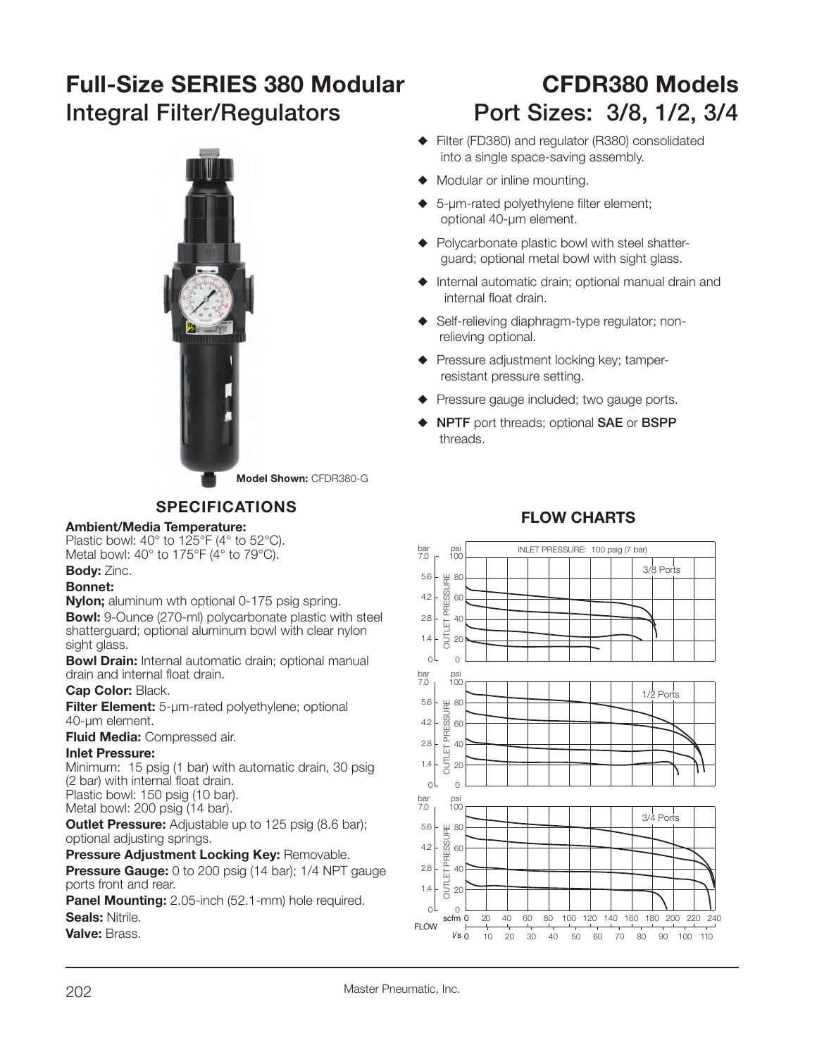# **Full-Size SERIES 380 Modular CFDR380 ModelsIntegral Filter/Regulators Port Sizes: 3/8, 1/2, 3/4**



**Model Shown:** CFDR380-G

# **SPECIFICATIONS**

#### **Ambient/Media Temperature:**

Plastic bowl: 40° to 125°F (4° to 52°C). Metal bowl: 40° to 175°F (4° to 79°C).

# **Body:** Zinc.

### **Bonnet:**

**Nylon;** aluminum wth optional 0-175 psig spring. **Bowl:** 9-Ounce (270-ml) polycarbonate plastic with steel shatterguard; optional aluminum bowl with clear nylon sight glass.

**Bowl Drain:** Internal automatic drain; optional manual drain and internal float drain.

#### **Cap Color:** Black.

**Filter Element:** 5-µm-rated polyethylene; optional 40-µm element.

**Fluid Media:** Compressed air.

#### **Inlet Pressure:**

 Minimum: 15 psig (1 bar) with automatic drain, 30 psig (2 bar) with internal float drain.

Plastic bowl: 150 psig (10 bar). Metal bowl: 200 psig (14 bar).

**Outlet Pressure:** Adjustable up to 125 psig (8.6 bar); optional adjusting springs.

## **Pressure Adjustment Locking Key: Removable.**

**Pressure Gauge:** 0 to 200 psig (14 bar); 1/4 NPT gauge ports front and rear.

**Panel Mounting:** 2.05-inch (52.1-mm) hole required. **Seals:** Nitrile.

**Valve:** Brass.

- ◆ Filter (FD380) and regulator (R380) consolidated into a single space-saving assembly.
- $\blacklozenge$  Modular or inline mounting.
- $\triangle$  5-µm-rated polyethylene filter element; optional 40-µm element.
- $\blacklozenge$  Polycarbonate plastic bowl with steel shatterguard; optional metal bowl with sight glass.
- $\blacklozenge$  Internal automatic drain; optional manual drain and internal float drain.
- ◆ Self-relieving diaphragm-type regulator; nonrelieving optional.
- $\blacklozenge$  Pressure adjustment locking key; tamperresistant pressure setting.
- $\blacklozenge$  Pressure gauge included; two gauge ports.
- S **NPTF** port threads; optional **SAE** or **BSPP** threads.

# **FLOW CHARTS**